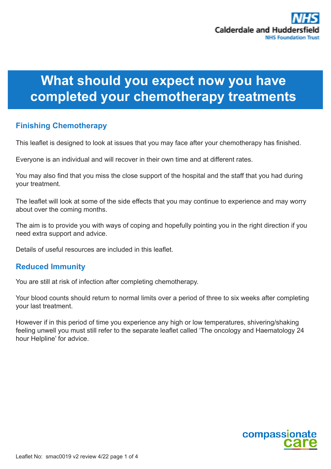# **What should you expect now you have completed your chemotherapy treatments**

# **Finishing Chemotherapy**

This leaflet is designed to look at issues that you may face after your chemotherapy has finished.

Everyone is an individual and will recover in their own time and at different rates.

You may also find that you miss the close support of the hospital and the staff that you had during your treatment.

The leaflet will look at some of the side effects that you may continue to experience and may worry about over the coming months.

The aim is to provide you with ways of coping and hopefully pointing you in the right direction if you need extra support and advice.

Details of useful resources are included in this leaflet.

## **Reduced Immunity**

You are still at risk of infection after completing chemotherapy.

Your blood counts should return to normal limits over a period of three to six weeks after completing your last treatment.

However if in this period of time you experience any high or low temperatures, shivering/shaking feeling unwell you must still refer to the separate leaflet called 'The oncology and Haematology 24 hour Helpline' for advice.

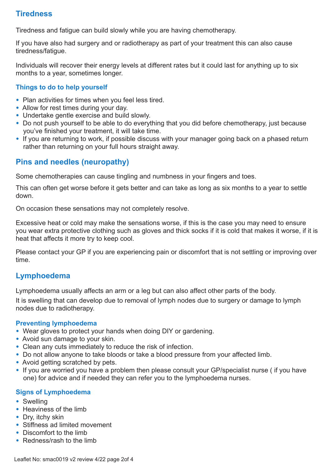# **Tiredness**

Tiredness and fatigue can build slowly while you are having chemotherapy.

If you have also had surgery and or radiotherapy as part of your treatment this can also cause tiredness/fatigue.

Individuals will recover their energy levels at different rates but it could last for anything up to six months to a year, sometimes longer.

#### **Things to do to help yourself**

- Plan activities for times when you feel less tired.
- Allow for rest times during your day.
- Undertake gentle exercise and build slowly.
- Do not push yourself to be able to do everything that you did before chemotherapy, just because you've finished your treatment, it will take time.
- If you are returning to work, if possible discuss with your manager going back on a phased return rather than returning on your full hours straight away.

## **Pins and needles (neuropathy)**

Some chemotherapies can cause tingling and numbness in your fingers and toes.

This can often get worse before it gets better and can take as long as six months to a year to settle down.

On occasion these sensations may not completely resolve.

Excessive heat or cold may make the sensations worse, if this is the case you may need to ensure you wear extra protective clothing such as gloves and thick socks if it is cold that makes it worse, if it is heat that affects it more try to keep cool.

Please contact your GP if you are experiencing pain or discomfort that is not settling or improving over time.

## **Lymphoedema**

Lymphoedema usually affects an arm or a leg but can also affect other parts of the body.

It is swelling that can develop due to removal of lymph nodes due to surgery or damage to lymph nodes due to radiotherapy.

#### **Preventing lymphoedema**

- Wear gloves to protect your hands when doing DIY or gardening.
- Avoid sun damage to your skin.
- Clean any cuts immediately to reduce the risk of infection.
- Do not allow anyone to take bloods or take a blood pressure from your affected limb.
- Avoid getting scratched by pets.
- If you are worried you have a problem then please consult your GP/specialist nurse (if you have one) for advice and if needed they can refer you to the lymphoedema nurses.

#### **Signs of Lymphoedema**

- Swelling
- Heaviness of the limb
- Dry, itchy skin
- Stiffness ad limited movement
- Discomfort to the limb
- Redness/rash to the limb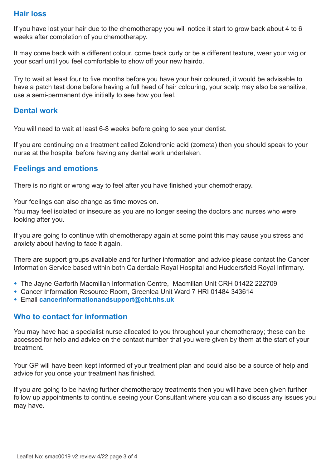# **Hair loss**

If you have lost your hair due to the chemotherapy you will notice it start to grow back about 4 to 6 weeks after completion of you chemotherapy.

It may come back with a different colour, come back curly or be a different texture, wear your wig or your scarf until you feel comfortable to show off your new hairdo.

Try to wait at least four to five months before you have your hair coloured, it would be advisable to have a patch test done before having a full head of hair colouring, your scalp may also be sensitive, use a semi-permanent dye initially to see how you feel.

## **Dental work**

You will need to wait at least 6-8 weeks before going to see your dentist.

If you are continuing on a treatment called Zolendronic acid (zometa) then you should speak to your nurse at the hospital before having any dental work undertaken.

## **Feelings and emotions**

There is no right or wrong way to feel after you have finished your chemotherapy.

Your feelings can also change as time moves on.

You may feel isolated or insecure as you are no longer seeing the doctors and nurses who were looking after you.

If you are going to continue with chemotherapy again at some point this may cause you stress and anxiety about having to face it again.

There are support groups available and for further information and advice please contact the Cancer Information Service based within both Calderdale Royal Hospital and Huddersfield Royal Infirmary.

- The Jayne Garforth Macmillan Information Centre, Macmillan Unit CRH 01422 222709
- Cancer Information Resource Room, Greenlea Unit Ward 7 HRI 01484 343614
- Email **cancerinformationandsupport@cht.nhs.uk**

## **Who to contact for information**

You may have had a specialist nurse allocated to you throughout your chemotherapy; these can be accessed for help and advice on the contact number that you were given by them at the start of your treatment.

Your GP will have been kept informed of your treatment plan and could also be a source of help and advice for you once your treatment has finished.

If you are going to be having further chemotherapy treatments then you will have been given further follow up appointments to continue seeing your Consultant where you can also discuss any issues you may have.